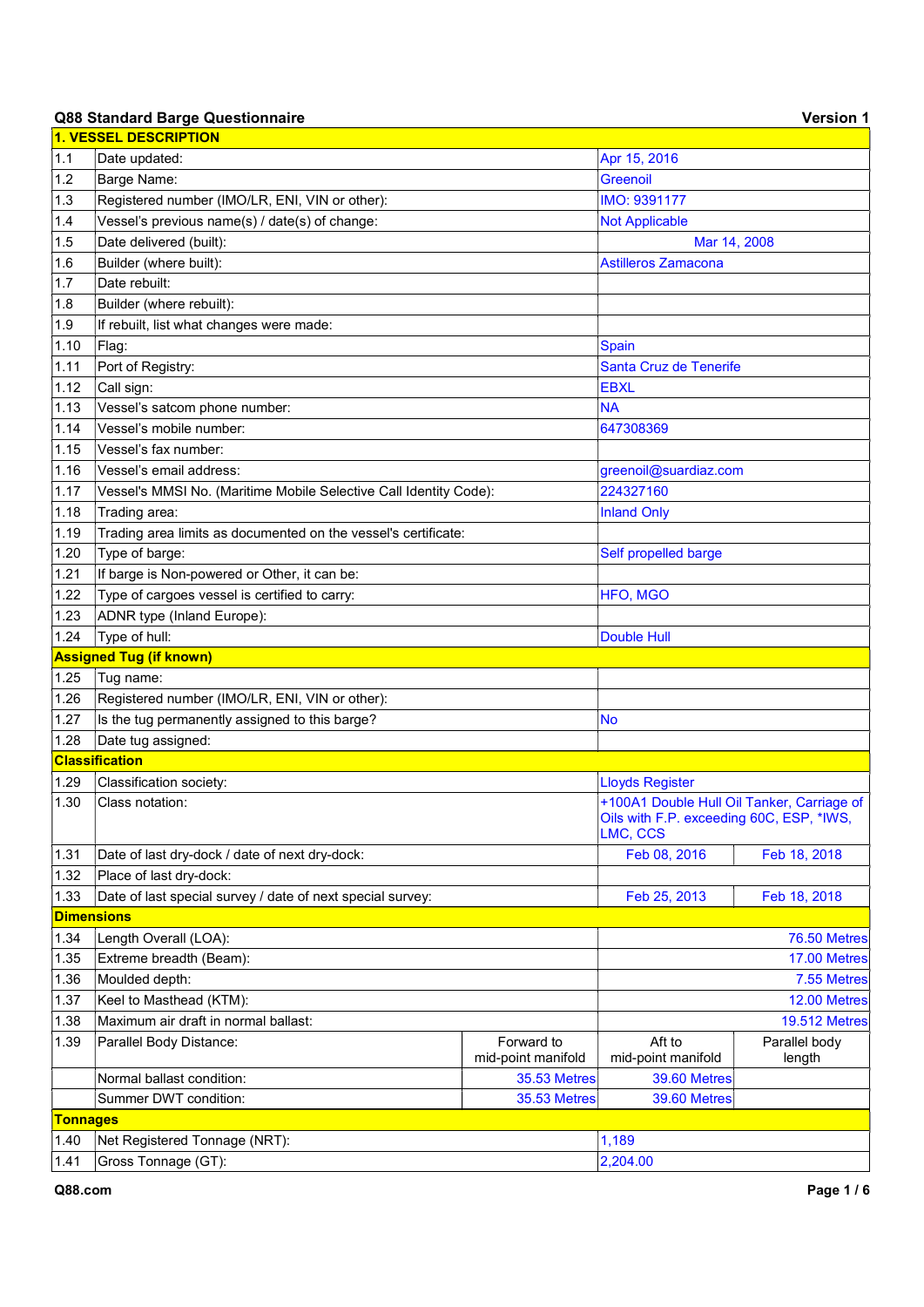# Q88 Standard Barge Questionnaire Version 1 version 1

|                   | 1. VESSEL DESCRIPTION                                             |                                  |                                                      |                         |
|-------------------|-------------------------------------------------------------------|----------------------------------|------------------------------------------------------|-------------------------|
| 1.1               | Date updated:                                                     |                                  | Apr 15, 2016                                         |                         |
| 1.2               | Barge Name:                                                       |                                  | <b>Greenoil</b>                                      |                         |
| 1.3               | Registered number (IMO/LR, ENI, VIN or other):                    |                                  | IMO: 9391177                                         |                         |
| 1.4               | Vessel's previous name(s) / date(s) of change:                    |                                  | <b>Not Applicable</b>                                |                         |
| 1.5               | Date delivered (built):                                           |                                  | Mar 14, 2008                                         |                         |
| 1.6               | Builder (where built):                                            |                                  | <b>Astilleros Zamacona</b>                           |                         |
| 1.7               | Date rebuilt:                                                     |                                  |                                                      |                         |
| 1.8               | Builder (where rebuilt):                                          |                                  |                                                      |                         |
| 1.9               | If rebuilt, list what changes were made:                          |                                  |                                                      |                         |
| 1.10              | Flag:                                                             |                                  | <b>Spain</b>                                         |                         |
| 1.11              | Port of Registry:                                                 |                                  | Santa Cruz de Tenerife                               |                         |
| 1.12              | Call sign:                                                        |                                  | <b>EBXL</b>                                          |                         |
| 1.13              | Vessel's satcom phone number:                                     |                                  | <b>NA</b>                                            |                         |
| 1.14              | Vessel's mobile number:                                           |                                  | 647308369                                            |                         |
| 1.15              | Vessel's fax number:                                              |                                  |                                                      |                         |
| 1.16              | Vessel's email address:                                           |                                  | greenoil@suardiaz.com                                |                         |
| 1.17              | Vessel's MMSI No. (Maritime Mobile Selective Call Identity Code): |                                  | 224327160                                            |                         |
| 1.18              | Trading area:                                                     |                                  | <b>Inland Only</b>                                   |                         |
| 1.19              | Trading area limits as documented on the vessel's certificate:    |                                  |                                                      |                         |
| 1.20              | Type of barge:                                                    |                                  | Self propelled barge                                 |                         |
| 1.21              | If barge is Non-powered or Other, it can be:                      |                                  |                                                      |                         |
| 1.22              | Type of cargoes vessel is certified to carry:                     |                                  | HFO, MGO                                             |                         |
| 1.23              | ADNR type (Inland Europe):                                        |                                  |                                                      |                         |
| 1.24              | Type of hull:                                                     |                                  | <b>Double Hull</b>                                   |                         |
|                   | <b>Assigned Tug (if known)</b>                                    |                                  |                                                      |                         |
| 1.25              | Tug name:                                                         |                                  |                                                      |                         |
| 1.26              | Registered number (IMO/LR, ENI, VIN or other):                    |                                  |                                                      |                         |
| 1.27              | Is the tug permanently assigned to this barge?                    |                                  | No                                                   |                         |
| 1.28              | Date tug assigned:                                                |                                  |                                                      |                         |
|                   | <b>Classification</b>                                             |                                  |                                                      |                         |
| 1.29              | Classification society:                                           |                                  | <b>Lloyds Register</b>                               |                         |
| 1.30              | Class notation:                                                   |                                  | +100A1 Double Hull Oil Tanker, Carriage of           |                         |
|                   |                                                                   |                                  | Oils with F.P. exceeding 60C, ESP, *IWS,<br>LMC, CCS |                         |
| 1.31              | Date of last dry-dock / date of next dry-dock:                    |                                  | Feb 08, 2016                                         | Feb 18, 2018            |
| 1.32              | Place of last dry-dock:                                           |                                  |                                                      |                         |
| 1.33              | Date of last special survey / date of next special survey:        |                                  | Feb 25, 2013                                         | Feb 18, 2018            |
| <b>Dimensions</b> |                                                                   |                                  |                                                      |                         |
| 1.34              | Length Overall (LOA):                                             |                                  |                                                      | 76.50 Metres            |
| 1.35              | Extreme breadth (Beam):                                           |                                  |                                                      | 17.00 Metres            |
| 1.36              | Moulded depth:                                                    |                                  |                                                      | 7.55 Metres             |
| 1.37              | Keel to Masthead (KTM):                                           |                                  |                                                      | 12.00 Metres            |
| 1.38              | Maximum air draft in normal ballast:                              |                                  |                                                      | <b>19.512 Metres</b>    |
| 1.39              | Parallel Body Distance:                                           | Forward to<br>mid-point manifold | Aft to<br>mid-point manifold                         | Parallel body<br>length |
|                   | Normal ballast condition:                                         | 35.53 Metres                     | 39.60 Metres                                         |                         |
|                   | Summer DWT condition:                                             | <b>35.53 Metres</b>              | 39.60 Metres                                         |                         |
| <b>Tonnages</b>   |                                                                   |                                  |                                                      |                         |
| 1.40              | Net Registered Tonnage (NRT):                                     |                                  | 1,189                                                |                         |
| 1.41              | Gross Tonnage (GT):                                               |                                  | 2,204.00                                             |                         |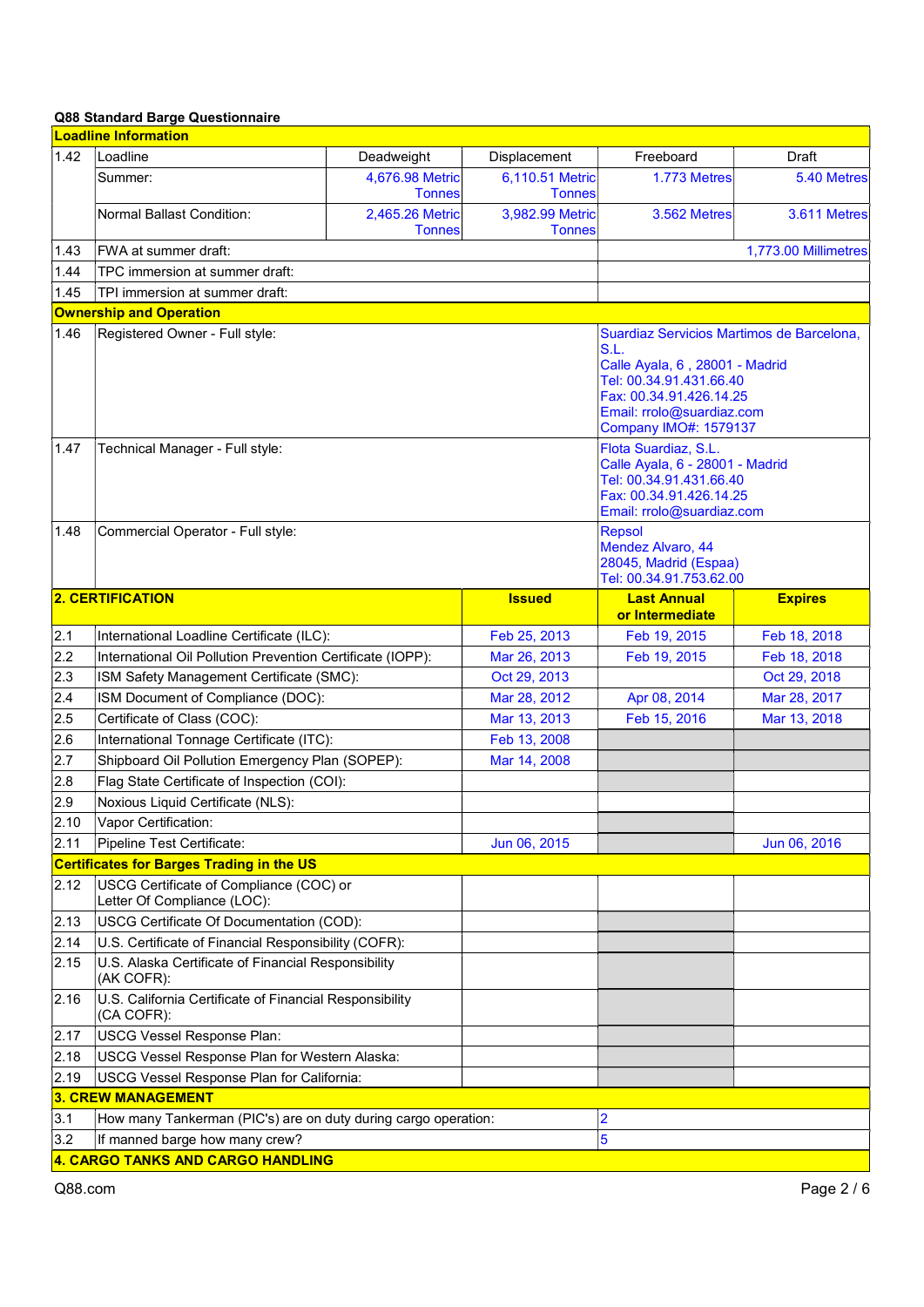|              | <b>Loadline Information</b>                                                      |                                  |                                  |                                                                                                                                                                                                        |                      |  |
|--------------|----------------------------------------------------------------------------------|----------------------------------|----------------------------------|--------------------------------------------------------------------------------------------------------------------------------------------------------------------------------------------------------|----------------------|--|
| 1.42         | Loadline                                                                         | Deadweight                       | Displacement                     | Freeboard                                                                                                                                                                                              | Draft                |  |
|              | Summer:                                                                          | 4,676.98 Metric<br><b>Tonnes</b> | 6,110.51 Metric<br><b>Tonnes</b> | 1.773 Metres                                                                                                                                                                                           | 5.40 Metres          |  |
|              | Normal Ballast Condition:                                                        | 2,465.26 Metric<br><b>Tonnes</b> | 3,982.99 Metric<br><b>Tonnes</b> | 3.562 Metres                                                                                                                                                                                           | 3.611 Metres         |  |
| 1.43         | FWA at summer draft:                                                             |                                  |                                  |                                                                                                                                                                                                        | 1,773.00 Millimetres |  |
| 1.44         | TPC immersion at summer draft:                                                   |                                  |                                  |                                                                                                                                                                                                        |                      |  |
| 1.45         | TPI immersion at summer draft:                                                   |                                  |                                  |                                                                                                                                                                                                        |                      |  |
|              | <b>Ownership and Operation</b>                                                   |                                  |                                  |                                                                                                                                                                                                        |                      |  |
| 1.46         | Registered Owner - Full style:                                                   |                                  |                                  | Suardiaz Servicios Martimos de Barcelona,<br>S.L.<br>Calle Ayala, 6, 28001 - Madrid<br>Tel: 00.34.91.431.66.40<br>Fax: 00.34.91.426.14.25<br>Email: rrolo@suardiaz.com<br><b>Company IMO#: 1579137</b> |                      |  |
| 1.47<br>1.48 | Technical Manager - Full style:<br>Commercial Operator - Full style:             |                                  |                                  | Flota Suardiaz, S.L.<br>Calle Ayala, 6 - 28001 - Madrid<br>Tel: 00.34.91.431.66.40<br>Fax: 00.34.91.426.14.25<br>Email: rrolo@suardiaz.com<br><b>Repsol</b>                                            |                      |  |
|              |                                                                                  |                                  |                                  | <b>Mendez Alvaro, 44</b><br>28045, Madrid (Espaa)<br>Tel: 00.34.91.753.62.00                                                                                                                           |                      |  |
|              | <b>2. CERTIFICATION</b>                                                          |                                  | <b>Issued</b>                    | <b>Last Annual</b><br>or Intermediate                                                                                                                                                                  | <b>Expires</b>       |  |
| 2.1          | International Loadline Certificate (ILC):                                        |                                  | Feb 25, 2013                     | Feb 19, 2015                                                                                                                                                                                           | Feb 18, 2018         |  |
| 2.2          | International Oil Pollution Prevention Certificate (IOPP):                       |                                  | Mar 26, 2013                     | Feb 19, 2015                                                                                                                                                                                           | Feb 18, 2018         |  |
| 2.3          | ISM Safety Management Certificate (SMC):                                         |                                  | Oct 29, 2013                     |                                                                                                                                                                                                        | Oct 29, 2018         |  |
| 2.4          | ISM Document of Compliance (DOC):                                                |                                  | Mar 28, 2012                     | Apr 08, 2014                                                                                                                                                                                           | Mar 28, 2017         |  |
| 2.5          | Certificate of Class (COC):                                                      |                                  | Mar 13, 2013                     | Feb 15, 2016                                                                                                                                                                                           | Mar 13, 2018         |  |
| 2.6          | International Tonnage Certificate (ITC):                                         |                                  | Feb 13, 2008                     |                                                                                                                                                                                                        |                      |  |
| 2.7          | Shipboard Oil Pollution Emergency Plan (SOPEP):                                  |                                  | Mar 14, 2008                     |                                                                                                                                                                                                        |                      |  |
| 2.8          | Flag State Certificate of Inspection (COI):                                      |                                  |                                  |                                                                                                                                                                                                        |                      |  |
| 2.9          | Noxious Liquid Certificate (NLS):                                                |                                  |                                  |                                                                                                                                                                                                        |                      |  |
| 2.10         | Vapor Certification:                                                             |                                  |                                  |                                                                                                                                                                                                        |                      |  |
| 2.11         | Pipeline Test Certificate:                                                       |                                  | Jun 06, 2015                     |                                                                                                                                                                                                        | Jun 06, 2016         |  |
|              | <b>Certificates for Barges Trading in the US</b>                                 |                                  |                                  |                                                                                                                                                                                                        |                      |  |
| 2.12         | USCG Certificate of Compliance (COC) or<br>Letter Of Compliance (LOC):           |                                  |                                  |                                                                                                                                                                                                        |                      |  |
| 2.13         | USCG Certificate Of Documentation (COD):                                         |                                  |                                  |                                                                                                                                                                                                        |                      |  |
| 2.14         | U.S. Certificate of Financial Responsibility (COFR):                             |                                  |                                  |                                                                                                                                                                                                        |                      |  |
| 2.15         | U.S. Alaska Certificate of Financial Responsibility<br>(AK COFR):                |                                  |                                  |                                                                                                                                                                                                        |                      |  |
| 2.16         | U.S. California Certificate of Financial Responsibility<br>(CA COFR):            |                                  |                                  |                                                                                                                                                                                                        |                      |  |
| 2.17         | USCG Vessel Response Plan:                                                       |                                  |                                  |                                                                                                                                                                                                        |                      |  |
| 2.18         | USCG Vessel Response Plan for Western Alaska:                                    |                                  |                                  |                                                                                                                                                                                                        |                      |  |
| 2.19         | USCG Vessel Response Plan for California:                                        |                                  |                                  |                                                                                                                                                                                                        |                      |  |
|              | <b>3. CREW MANAGEMENT</b>                                                        |                                  |                                  |                                                                                                                                                                                                        |                      |  |
| 3.1          | $\overline{2}$<br>How many Tankerman (PIC's) are on duty during cargo operation: |                                  |                                  |                                                                                                                                                                                                        |                      |  |
| 3.2          | If manned barge how many crew?                                                   |                                  |                                  | $\overline{5}$                                                                                                                                                                                         |                      |  |
|              | 4. CARGO TANKS AND CARGO HANDLING                                                |                                  |                                  |                                                                                                                                                                                                        |                      |  |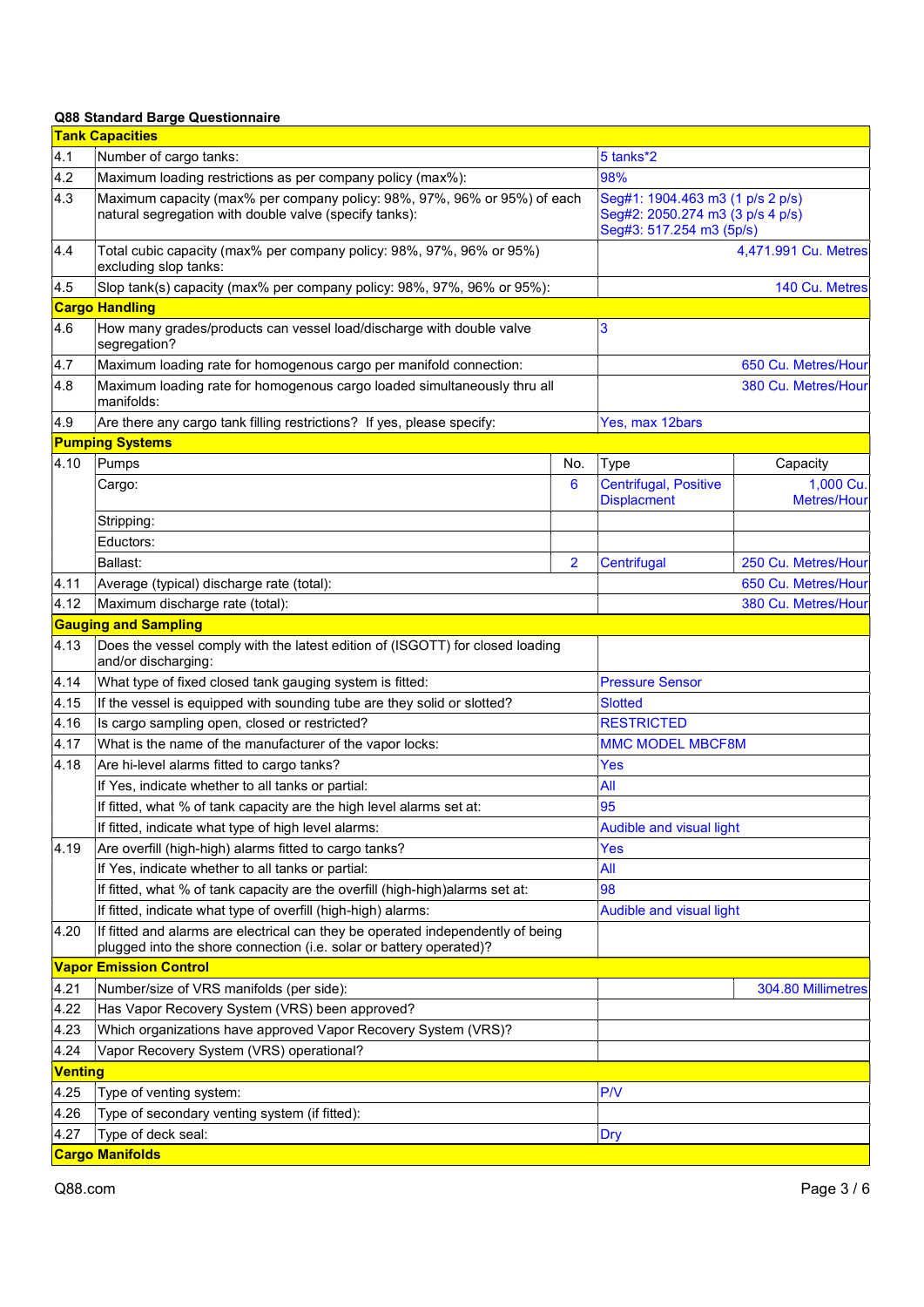|                | <b>Tank Capacities</b>                                                                                                                                 |                |                                                                                                  |                                 |  |
|----------------|--------------------------------------------------------------------------------------------------------------------------------------------------------|----------------|--------------------------------------------------------------------------------------------------|---------------------------------|--|
| 4.1            | Number of cargo tanks:                                                                                                                                 |                | 5 tanks*2                                                                                        |                                 |  |
| 4.2            | Maximum loading restrictions as per company policy (max%):                                                                                             |                | 98%                                                                                              |                                 |  |
| 4.3            | Maximum capacity (max% per company policy: 98%, 97%, 96% or 95%) of each<br>natural segregation with double valve (specify tanks):                     |                | Seg#1: 1904.463 m3 (1 p/s 2 p/s)<br>Seg#2: 2050.274 m3 (3 p/s 4 p/s)<br>Seg#3: 517.254 m3 (5p/s) |                                 |  |
| 4.4            | Total cubic capacity (max% per company policy: 98%, 97%, 96% or 95%)<br>excluding slop tanks:                                                          |                |                                                                                                  | 4,471.991 Cu. Metres            |  |
| 4.5            | Slop tank(s) capacity (max% per company policy: 98%, 97%, 96% or 95%):                                                                                 |                |                                                                                                  | 140 Cu. Metres                  |  |
|                | <b>Cargo Handling</b>                                                                                                                                  |                |                                                                                                  |                                 |  |
| 4.6            | How many grades/products can vessel load/discharge with double valve<br>segregation?                                                                   |                | 3                                                                                                |                                 |  |
| 4.7            | Maximum loading rate for homogenous cargo per manifold connection:                                                                                     |                |                                                                                                  | 650 Cu. Metres/Hour             |  |
| 4.8            | Maximum loading rate for homogenous cargo loaded simultaneously thru all<br>manifolds:                                                                 |                |                                                                                                  | 380 Cu. Metres/Hour             |  |
| 4.9            | Are there any cargo tank filling restrictions? If yes, please specify:                                                                                 |                | Yes, max 12bars                                                                                  |                                 |  |
|                | <b>Pumping Systems</b>                                                                                                                                 |                |                                                                                                  |                                 |  |
| 4.10           | Pumps                                                                                                                                                  | No.            | <b>Type</b>                                                                                      | Capacity                        |  |
|                | Cargo:                                                                                                                                                 | 6              | <b>Centrifugal, Positive</b><br><b>Displacment</b>                                               | 1,000 Cu.<br><b>Metres/Hour</b> |  |
|                | Stripping:                                                                                                                                             |                |                                                                                                  |                                 |  |
|                | Eductors:                                                                                                                                              |                |                                                                                                  |                                 |  |
|                | Ballast:                                                                                                                                               | $\overline{2}$ | Centrifugal                                                                                      | 250 Cu. Metres/Hour             |  |
| 4.11           | Average (typical) discharge rate (total):                                                                                                              |                |                                                                                                  | 650 Cu. Metres/Hour             |  |
| 4.12           | Maximum discharge rate (total):                                                                                                                        |                |                                                                                                  | 380 Cu. Metres/Hour             |  |
|                | <b>Gauging and Sampling</b>                                                                                                                            |                |                                                                                                  |                                 |  |
| 4.13           | Does the vessel comply with the latest edition of (ISGOTT) for closed loading<br>and/or discharging:                                                   |                |                                                                                                  |                                 |  |
| 4.14           | What type of fixed closed tank gauging system is fitted:                                                                                               |                | <b>Pressure Sensor</b>                                                                           |                                 |  |
| 4.15           | If the vessel is equipped with sounding tube are they solid or slotted?                                                                                |                | <b>Slotted</b>                                                                                   |                                 |  |
| 4.16           | Is cargo sampling open, closed or restricted?                                                                                                          |                | <b>RESTRICTED</b>                                                                                |                                 |  |
| 4.17           | What is the name of the manufacturer of the vapor locks:                                                                                               |                | <b>MMC MODEL MBCF8M</b>                                                                          |                                 |  |
| 4.18           | Are hi-level alarms fitted to cargo tanks?                                                                                                             |                | <b>Yes</b>                                                                                       |                                 |  |
|                | If Yes, indicate whether to all tanks or partial:                                                                                                      |                | All                                                                                              |                                 |  |
|                | If fitted, what % of tank capacity are the high level alarms set at:                                                                                   |                | 95                                                                                               |                                 |  |
|                | If fitted, indicate what type of high level alarms:                                                                                                    |                |                                                                                                  | <b>Audible and visual light</b> |  |
| 4.19           | Are overfill (high-high) alarms fitted to cargo tanks?                                                                                                 |                | Yes                                                                                              |                                 |  |
|                | If Yes, indicate whether to all tanks or partial:                                                                                                      |                | All                                                                                              |                                 |  |
|                | If fitted, what % of tank capacity are the overfill (high-high) alarms set at:                                                                         |                | 98                                                                                               |                                 |  |
|                | If fitted, indicate what type of overfill (high-high) alarms:                                                                                          |                | <b>Audible and visual light</b>                                                                  |                                 |  |
| 4.20           | If fitted and alarms are electrical can they be operated independently of being<br>plugged into the shore connection (i.e. solar or battery operated)? |                |                                                                                                  |                                 |  |
|                | <b>Vapor Emission Control</b>                                                                                                                          |                |                                                                                                  |                                 |  |
| 4.21           | Number/size of VRS manifolds (per side):                                                                                                               |                |                                                                                                  | 304.80 Millimetres              |  |
| 4.22           | Has Vapor Recovery System (VRS) been approved?                                                                                                         |                |                                                                                                  |                                 |  |
| 4.23           | Which organizations have approved Vapor Recovery System (VRS)?                                                                                         |                |                                                                                                  |                                 |  |
| 4.24           | Vapor Recovery System (VRS) operational?                                                                                                               |                |                                                                                                  |                                 |  |
| <b>Venting</b> |                                                                                                                                                        |                |                                                                                                  |                                 |  |
| 4.25           | Type of venting system:                                                                                                                                |                | P/V                                                                                              |                                 |  |
| 4.26           | Type of secondary venting system (if fitted):                                                                                                          |                |                                                                                                  |                                 |  |
| 4.27           | Type of deck seal:                                                                                                                                     |                | Dry                                                                                              |                                 |  |
|                | <b>Cargo Manifolds</b>                                                                                                                                 |                |                                                                                                  |                                 |  |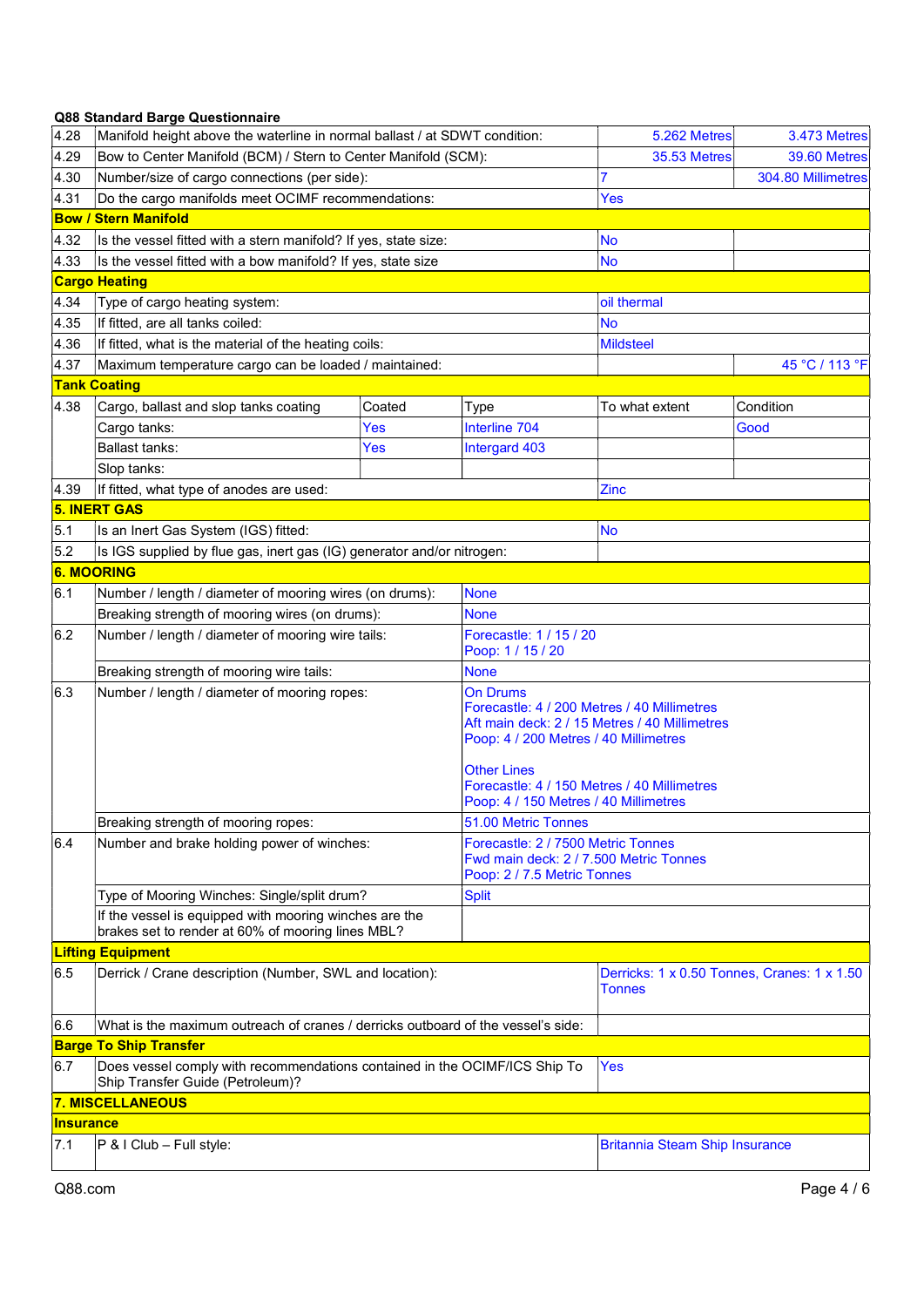| 4.28                          | Manifold height above the waterline in normal ballast / at SDWT condition:                                                                                |        | 5.262 Metres                                                                                                                                                                 | 3.473 Metres                                  |                    |  |
|-------------------------------|-----------------------------------------------------------------------------------------------------------------------------------------------------------|--------|------------------------------------------------------------------------------------------------------------------------------------------------------------------------------|-----------------------------------------------|--------------------|--|
| 4.29                          | Bow to Center Manifold (BCM) / Stern to Center Manifold (SCM):                                                                                            |        | <b>35.53 Metres</b>                                                                                                                                                          | 39.60 Metres                                  |                    |  |
| 4.30                          | Number/size of cargo connections (per side):                                                                                                              |        |                                                                                                                                                                              | 7                                             | 304.80 Millimetres |  |
| 4.31                          | Do the cargo manifolds meet OCIMF recommendations:                                                                                                        |        |                                                                                                                                                                              | <b>Yes</b>                                    |                    |  |
|                               | <b>Bow / Stern Manifold</b>                                                                                                                               |        |                                                                                                                                                                              |                                               |                    |  |
| 4.32                          | Is the vessel fitted with a stern manifold? If yes, state size:                                                                                           |        |                                                                                                                                                                              | No                                            |                    |  |
| 4.33                          | Is the vessel fitted with a bow manifold? If yes, state size                                                                                              |        |                                                                                                                                                                              | No                                            |                    |  |
|                               | <b>Cargo Heating</b>                                                                                                                                      |        |                                                                                                                                                                              |                                               |                    |  |
| 4.34                          | Type of cargo heating system:                                                                                                                             |        |                                                                                                                                                                              | oil thermal                                   |                    |  |
| 4.35                          | If fitted, are all tanks coiled:                                                                                                                          |        |                                                                                                                                                                              | <b>No</b>                                     |                    |  |
| 4.36                          | If fitted, what is the material of the heating coils:                                                                                                     |        |                                                                                                                                                                              | <b>Mildsteel</b>                              |                    |  |
| 4.37                          | Maximum temperature cargo can be loaded / maintained:                                                                                                     |        |                                                                                                                                                                              |                                               | 45 °C / 113 °F     |  |
|                               | <b>Tank Coating</b>                                                                                                                                       |        |                                                                                                                                                                              |                                               |                    |  |
| 4.38                          | Cargo, ballast and slop tanks coating                                                                                                                     | Coated | Type                                                                                                                                                                         | To what extent                                | Condition          |  |
|                               | Cargo tanks:                                                                                                                                              | Yes    | Interline 704                                                                                                                                                                |                                               | Good               |  |
|                               | <b>Ballast tanks:</b>                                                                                                                                     | Yes    | Intergard 403                                                                                                                                                                |                                               |                    |  |
|                               | Slop tanks:                                                                                                                                               |        |                                                                                                                                                                              |                                               |                    |  |
| 4.39                          | If fitted, what type of anodes are used:                                                                                                                  |        |                                                                                                                                                                              | Zinc                                          |                    |  |
|                               | <b>5. INERT GAS</b>                                                                                                                                       |        |                                                                                                                                                                              |                                               |                    |  |
| 5.1                           | Is an Inert Gas System (IGS) fitted:                                                                                                                      |        |                                                                                                                                                                              | No                                            |                    |  |
| 5.2                           | Is IGS supplied by flue gas, inert gas (IG) generator and/or nitrogen:                                                                                    |        |                                                                                                                                                                              |                                               |                    |  |
| <b>6. MOORING</b>             |                                                                                                                                                           |        |                                                                                                                                                                              |                                               |                    |  |
| 6.1                           | Number / length / diameter of mooring wires (on drums):                                                                                                   |        | <b>None</b>                                                                                                                                                                  |                                               |                    |  |
|                               | Breaking strength of mooring wires (on drums):                                                                                                            |        | None                                                                                                                                                                         |                                               |                    |  |
| 6.2                           | Number / length / diameter of mooring wire tails:                                                                                                         |        | Forecastle: 1 / 15 / 20<br>Poop: 1 / 15 / 20                                                                                                                                 |                                               |                    |  |
|                               | Breaking strength of mooring wire tails:                                                                                                                  |        | <b>None</b>                                                                                                                                                                  |                                               |                    |  |
| 6.3                           | Number / length / diameter of mooring ropes:<br>On Drums<br><b>Other Lines</b>                                                                            |        | Forecastle: 4 / 200 Metres / 40 Millimetres<br>Poop: 4 / 200 Metres / 40 Millimetres<br>Forecastle: 4 / 150 Metres / 40 Millimetres<br>Poop: 4 / 150 Metres / 40 Millimetres | Aft main deck: 2 / 15 Metres / 40 Millimetres |                    |  |
|                               | Breaking strength of mooring ropes:                                                                                                                       |        | 51.00 Metric Tonnes                                                                                                                                                          |                                               |                    |  |
| 6.4                           | Number and brake holding power of winches:<br>Forecastle: 2 / 7500 Metric Tonnes<br>Fwd main deck: 2 / 7.500 Metric Tonnes<br>Poop: 2 / 7.5 Metric Tonnes |        |                                                                                                                                                                              |                                               |                    |  |
|                               | Type of Mooring Winches: Single/split drum?<br><b>Split</b>                                                                                               |        |                                                                                                                                                                              |                                               |                    |  |
|                               | If the vessel is equipped with mooring winches are the<br>brakes set to render at 60% of mooring lines MBL?                                               |        |                                                                                                                                                                              |                                               |                    |  |
|                               | <b>Lifting Equipment</b>                                                                                                                                  |        |                                                                                                                                                                              |                                               |                    |  |
| 6.5                           | Derrick / Crane description (Number, SWL and location):                                                                                                   |        | Derricks: 1 x 0.50 Tonnes, Cranes: 1 x 1.50<br>Tonnes                                                                                                                        |                                               |                    |  |
| 16.6                          | What is the maximum outreach of cranes / derricks outboard of the vessel's side:                                                                          |        |                                                                                                                                                                              |                                               |                    |  |
| <b>Barge To Ship Transfer</b> |                                                                                                                                                           |        |                                                                                                                                                                              |                                               |                    |  |
| 6.7                           | Does vessel comply with recommendations contained in the OCIMF/ICS Ship To<br>Ship Transfer Guide (Petroleum)?                                            |        | <b>Yes</b>                                                                                                                                                                   |                                               |                    |  |
| <b>7. MISCELLANEOUS</b>       |                                                                                                                                                           |        |                                                                                                                                                                              |                                               |                    |  |
| <b>Insurance</b>              |                                                                                                                                                           |        |                                                                                                                                                                              |                                               |                    |  |
| 7.1                           | $P$ & I Club – Full style:                                                                                                                                |        | <b>Britannia Steam Ship Insurance</b>                                                                                                                                        |                                               |                    |  |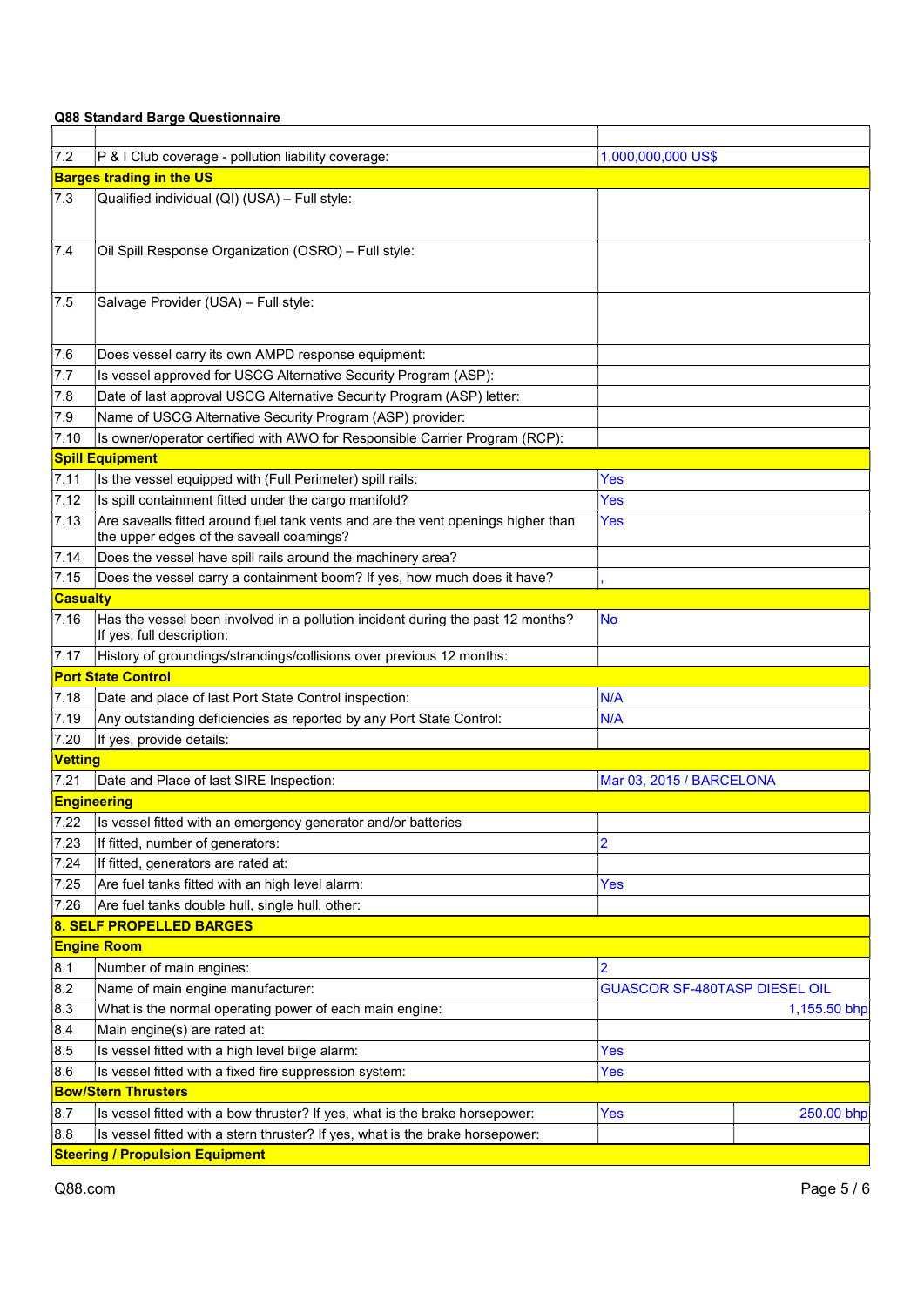| 7.2             | P & I Club coverage - pollution liability coverage:<br>1,000,000,000 US\$                                                    |                                      |              |  |  |
|-----------------|------------------------------------------------------------------------------------------------------------------------------|--------------------------------------|--------------|--|--|
|                 | <b>Barges trading in the US</b>                                                                                              |                                      |              |  |  |
| 7.3             | Qualified individual (QI) (USA) - Full style:                                                                                |                                      |              |  |  |
| 7.4             | Oil Spill Response Organization (OSRO) - Full style:                                                                         |                                      |              |  |  |
| 7.5             | Salvage Provider (USA) - Full style:                                                                                         |                                      |              |  |  |
| 7.6             | Does vessel carry its own AMPD response equipment:                                                                           |                                      |              |  |  |
| 7.7             | Is vessel approved for USCG Alternative Security Program (ASP):                                                              |                                      |              |  |  |
| 7.8             | Date of last approval USCG Alternative Security Program (ASP) letter:                                                        |                                      |              |  |  |
| 7.9             | Name of USCG Alternative Security Program (ASP) provider:                                                                    |                                      |              |  |  |
| 7.10            | Is owner/operator certified with AWO for Responsible Carrier Program (RCP):                                                  |                                      |              |  |  |
|                 | <b>Spill Equipment</b>                                                                                                       |                                      |              |  |  |
| 7.11            | Is the vessel equipped with (Full Perimeter) spill rails:                                                                    | Yes                                  |              |  |  |
| 7.12            | Is spill containment fitted under the cargo manifold?                                                                        | Yes                                  |              |  |  |
| 7.13            | Are savealls fitted around fuel tank vents and are the vent openings higher than<br>the upper edges of the saveall coamings? | Yes                                  |              |  |  |
| 7.14            | Does the vessel have spill rails around the machinery area?                                                                  |                                      |              |  |  |
| 7.15            | Does the vessel carry a containment boom? If yes, how much does it have?                                                     |                                      |              |  |  |
| <b>Casualty</b> |                                                                                                                              |                                      |              |  |  |
| 7.16            | Has the vessel been involved in a pollution incident during the past 12 months?<br>If yes, full description:                 | <b>No</b>                            |              |  |  |
| 7.17            | History of groundings/strandings/collisions over previous 12 months:                                                         |                                      |              |  |  |
|                 | <b>Port State Control</b>                                                                                                    |                                      |              |  |  |
| 7.18            | Date and place of last Port State Control inspection:                                                                        | N/A                                  |              |  |  |
| 7.19            | Any outstanding deficiencies as reported by any Port State Control:                                                          | N/A                                  |              |  |  |
| 7.20            | If yes, provide details:                                                                                                     |                                      |              |  |  |
| <b>Vetting</b>  |                                                                                                                              |                                      |              |  |  |
| 7.21            | Date and Place of last SIRE Inspection:                                                                                      | Mar 03, 2015 / BARCELONA             |              |  |  |
|                 | <b>Engineering</b>                                                                                                           |                                      |              |  |  |
| 7.22            | Is vessel fitted with an emergency generator and/or batteries                                                                |                                      |              |  |  |
| 7.23            | If fitted, number of generators:                                                                                             | $\overline{2}$                       |              |  |  |
| 7.24            | If fitted, generators are rated at:                                                                                          |                                      |              |  |  |
| 7.25            | Are fuel tanks fitted with an high level alarm:                                                                              | Yes                                  |              |  |  |
| 7.26            | Are fuel tanks double hull, single hull, other:                                                                              |                                      |              |  |  |
|                 | 8. SELF PROPELLED BARGES                                                                                                     |                                      |              |  |  |
|                 | <b>Engine Room</b>                                                                                                           |                                      |              |  |  |
| 8.1             | Number of main engines:                                                                                                      | $\overline{\mathbf{c}}$              |              |  |  |
| 8.2             | Name of main engine manufacturer:                                                                                            | <b>GUASCOR SF-480TASP DIESEL OIL</b> |              |  |  |
| 8.3             | What is the normal operating power of each main engine:                                                                      |                                      | 1,155.50 bhp |  |  |
| 8.4             | Main engine(s) are rated at:                                                                                                 |                                      |              |  |  |
| 8.5             | Is vessel fitted with a high level bilge alarm:                                                                              | Yes                                  |              |  |  |
| 8.6             | Is vessel fitted with a fixed fire suppression system:                                                                       | Yes                                  |              |  |  |
|                 | <b>Bow/Stern Thrusters</b>                                                                                                   |                                      |              |  |  |
| 8.7             | Is vessel fitted with a bow thruster? If yes, what is the brake horsepower:                                                  | <b>Yes</b>                           | 250.00 bhp   |  |  |
| 8.8             | Is vessel fitted with a stern thruster? If yes, what is the brake horsepower:                                                |                                      |              |  |  |
|                 | <b>Steering / Propulsion Equipment</b>                                                                                       |                                      |              |  |  |